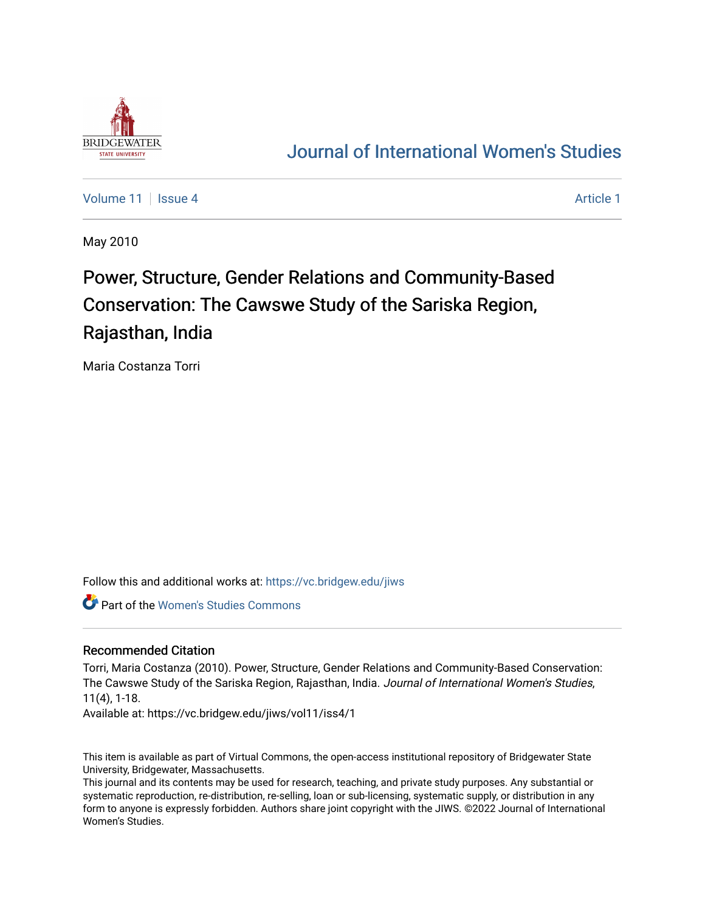

# [Journal of International Women's Studies](https://vc.bridgew.edu/jiws)

[Volume 11](https://vc.bridgew.edu/jiws/vol11) | [Issue 4](https://vc.bridgew.edu/jiws/vol11/iss4) [Article 1](https://vc.bridgew.edu/jiws/vol11/iss4/1) | Article 1 | Article 1 | Article 1 | Article 1 | Article 1 | Article 1 | Article 1 | Article 1 | Article 1 | Article 1 | Article 1 | Article 1 | Article 1 | Article 1 | Article 1 | Article 1

May 2010

# Power, Structure, Gender Relations and Community-Based Conservation: The Cawswe Study of the Sariska Region, Rajasthan, India

Maria Costanza Torri

Follow this and additional works at: [https://vc.bridgew.edu/jiws](https://vc.bridgew.edu/jiws?utm_source=vc.bridgew.edu%2Fjiws%2Fvol11%2Fiss4%2F1&utm_medium=PDF&utm_campaign=PDFCoverPages)

Part of the [Women's Studies Commons](http://network.bepress.com/hgg/discipline/561?utm_source=vc.bridgew.edu%2Fjiws%2Fvol11%2Fiss4%2F1&utm_medium=PDF&utm_campaign=PDFCoverPages) 

#### Recommended Citation

Torri, Maria Costanza (2010). Power, Structure, Gender Relations and Community-Based Conservation: The Cawswe Study of the Sariska Region, Rajasthan, India. Journal of International Women's Studies, 11(4), 1-18.

Available at: https://vc.bridgew.edu/jiws/vol11/iss4/1

This item is available as part of Virtual Commons, the open-access institutional repository of Bridgewater State University, Bridgewater, Massachusetts.

This journal and its contents may be used for research, teaching, and private study purposes. Any substantial or systematic reproduction, re-distribution, re-selling, loan or sub-licensing, systematic supply, or distribution in any form to anyone is expressly forbidden. Authors share joint copyright with the JIWS. ©2022 Journal of International Women's Studies.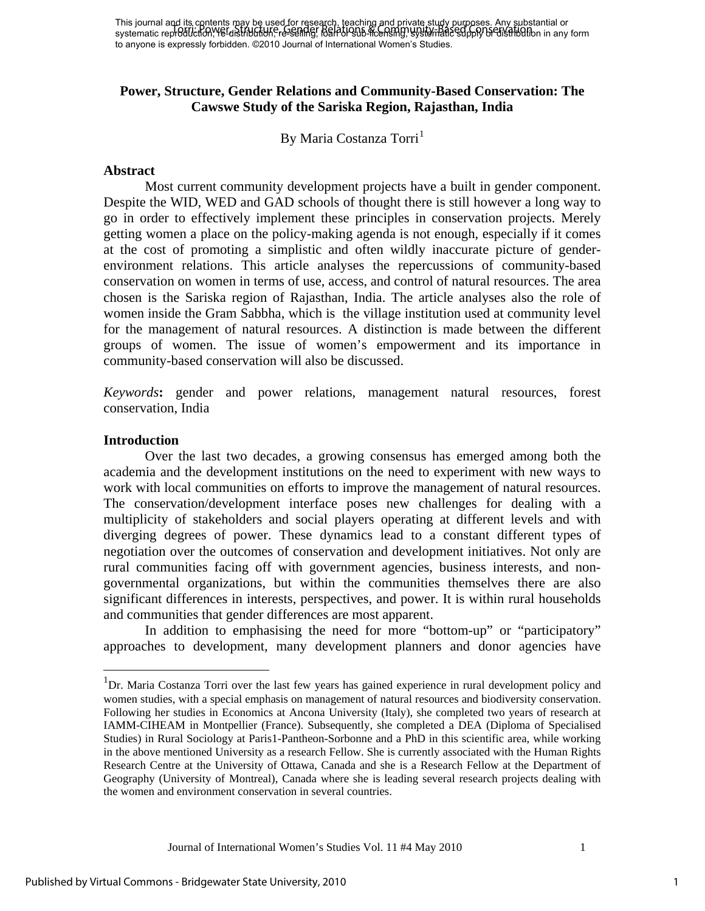# **Power, Structure, Gender Relations and Community-Based Conservation: The Cawswe Study of the Sariska Region, Rajasthan, India**

By Maria Costanza Torri<sup>[1](#page-1-0)</sup>

#### **Abstract**

Most current community development projects have a built in gender component. Despite the WID, WED and GAD schools of thought there is still however a long way to go in order to effectively implement these principles in conservation projects. Merely getting women a place on the policy-making agenda is not enough, especially if it comes at the cost of promoting a simplistic and often wildly inaccurate picture of genderenvironment relations. This article analyses the repercussions of community-based conservation on women in terms of use, access, and control of natural resources. The area chosen is the Sariska region of Rajasthan, India. The article analyses also the role of women inside the Gram Sabbha, which is the village institution used at community level for the management of natural resources. A distinction is made between the different groups of women. The issue of women's empowerment and its importance in community-based conservation will also be discussed.

*Keywords***:** gender and power relations, management natural resources, forest conservation, India

#### **Introduction**

 $\overline{a}$ 

Over the last two decades, a growing consensus has emerged among both the academia and the development institutions on the need to experiment with new ways to work with local communities on efforts to improve the management of natural resources. The conservation/development interface poses new challenges for dealing with a multiplicity of stakeholders and social players operating at different levels and with diverging degrees of power. These dynamics lead to a constant different types of negotiation over the outcomes of conservation and development initiatives. Not only are rural communities facing off with government agencies, business interests, and nongovernmental organizations, but within the communities themselves there are also significant differences in interests, perspectives, and power. It is within rural households and communities that gender differences are most apparent.

In addition to emphasising the need for more "bottom-up" or "participatory" approaches to development, many development planners and donor agencies have

<span id="page-1-0"></span><sup>&</sup>lt;sup>1</sup>Dr. Maria Costanza Torri over the last few years has gained experience in rural development policy and women studies, with a special emphasis on management of natural resources and biodiversity conservation. Following her studies in Economics at Ancona University (Italy), she completed two years of research at IAMM-CIHEAM in Montpellier (France). Subsequently, she completed a DEA (Diploma of Specialised Studies) in Rural Sociology at Paris1-Pantheon-Sorbonne and a PhD in this scientific area, while working in the above mentioned University as a research Fellow. She is currently associated with the Human Rights Research Centre at the University of Ottawa, Canada and she is a Research Fellow at the Department of Geography (University of Montreal), Canada where she is leading several research projects dealing with the women and environment conservation in several countries.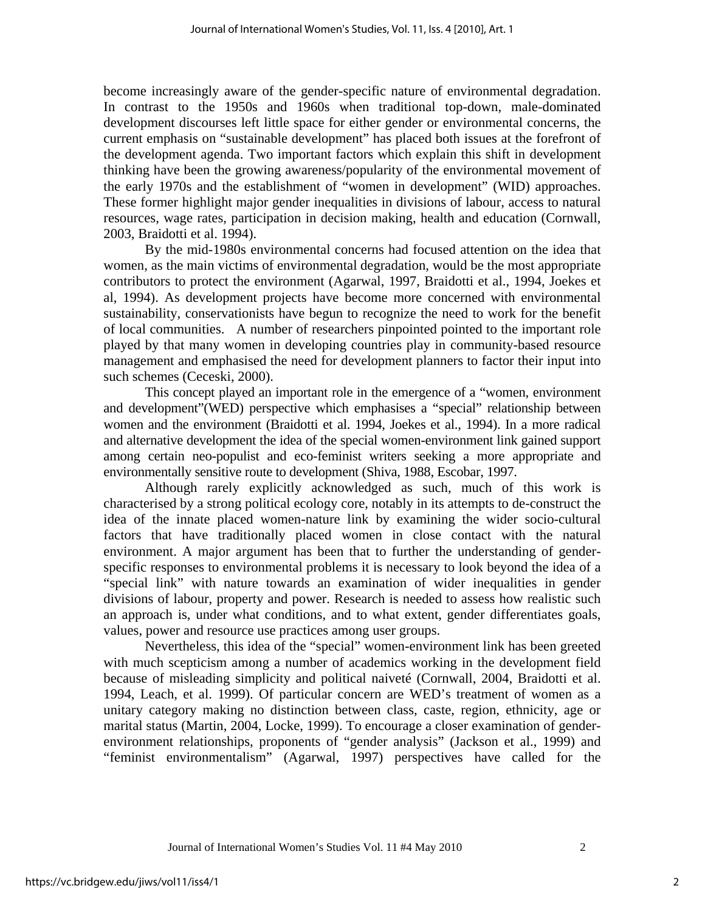become increasingly aware of the gender-specific nature of environmental degradation. In contrast to the 1950s and 1960s when traditional top-down, male-dominated development discourses left little space for either gender or environmental concerns, the current emphasis on "sustainable development" has placed both issues at the forefront of the development agenda. Two important factors which explain this shift in development thinking have been the growing awareness/popularity of the environmental movement of the early 1970s and the establishment of "women in development" (WID) approaches. These former highlight major gender inequalities in divisions of labour, access to natural resources, wage rates, participation in decision making, health and education (Cornwall, 2003, Braidotti et al. 1994).

By the mid-1980s environmental concerns had focused attention on the idea that women, as the main victims of environmental degradation, would be the most appropriate contributors to protect the environment (Agarwal, 1997, Braidotti et al., 1994, Joekes et al, 1994). As development projects have become more concerned with environmental sustainability, conservationists have begun to recognize the need to work for the benefit of local communities. A number of researchers pinpointed pointed to the important role played by that many women in developing countries play in community-based resource management and emphasised the need for development planners to factor their input into such schemes (Ceceski, 2000).

This concept played an important role in the emergence of a "women, environment and development"(WED) perspective which emphasises a "special" relationship between women and the environment (Braidotti et al. 1994, Joekes et al., 1994). In a more radical and alternative development the idea of the special women-environment link gained support among certain neo-populist and eco-feminist writers seeking a more appropriate and environmentally sensitive route to development (Shiva, 1988, Escobar, 1997.

Although rarely explicitly acknowledged as such, much of this work is characterised by a strong political ecology core, notably in its attempts to de-construct the idea of the innate placed women-nature link by examining the wider socio-cultural factors that have traditionally placed women in close contact with the natural environment. A major argument has been that to further the understanding of genderspecific responses to environmental problems it is necessary to look beyond the idea of a "special link" with nature towards an examination of wider inequalities in gender divisions of labour, property and power. Research is needed to assess how realistic such an approach is, under what conditions, and to what extent, gender differentiates goals, values, power and resource use practices among user groups.

Nevertheless, this idea of the "special" women-environment link has been greeted with much scepticism among a number of academics working in the development field because of misleading simplicity and political naiveté (Cornwall, 2004, Braidotti et al. 1994, Leach, et al. 1999). Of particular concern are WED's treatment of women as a unitary category making no distinction between class, caste, region, ethnicity, age or marital status (Martin, 2004, Locke, 1999). To encourage a closer examination of genderenvironment relationships, proponents of "gender analysis" (Jackson et al., 1999) and "feminist environmentalism" (Agarwal, 1997) perspectives have called for the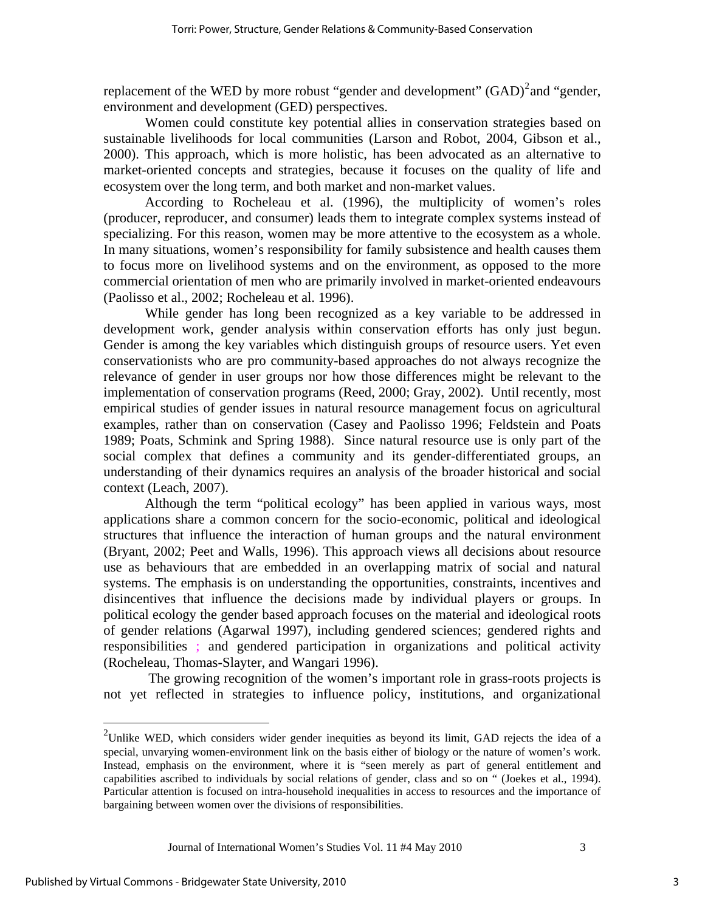replacement of the WED by more robust "gender and development"  $(GAD)^2$  $(GAD)^2$  and "gender, environment and development (GED) perspectives.

Women could constitute key potential allies in conservation strategies based on sustainable livelihoods for local communities (Larson and Robot, 2004, Gibson et al., 2000). This approach, which is more holistic, has been advocated as an alternative to market-oriented concepts and strategies, because it focuses on the quality of life and ecosystem over the long term, and both market and non-market values.

According to Rocheleau et al. (1996), the multiplicity of women's roles (producer, reproducer, and consumer) leads them to integrate complex systems instead of specializing. For this reason, women may be more attentive to the ecosystem as a whole. In many situations, women's responsibility for family subsistence and health causes them to focus more on livelihood systems and on the environment, as opposed to the more commercial orientation of men who are primarily involved in market-oriented endeavours (Paolisso et al., 2002; Rocheleau et al. 1996).

While gender has long been recognized as a key variable to be addressed in development work, gender analysis within conservation efforts has only just begun. Gender is among the key variables which distinguish groups of resource users. Yet even conservationists who are pro community-based approaches do not always recognize the relevance of gender in user groups nor how those differences might be relevant to the implementation of conservation programs (Reed, 2000; Gray, 2002). Until recently, most empirical studies of gender issues in natural resource management focus on agricultural examples, rather than on conservation (Casey and Paolisso 1996; Feldstein and Poats 1989; Poats, Schmink and Spring 1988). Since natural resource use is only part of the social complex that defines a community and its gender-differentiated groups, an understanding of their dynamics requires an analysis of the broader historical and social context (Leach, 2007).

Although the term "political ecology" has been applied in various ways, most applications share a common concern for the socio-economic, political and ideological structures that influence the interaction of human groups and the natural environment (Bryant, 2002; Peet and Walls, 1996). This approach views all decisions about resource use as behaviours that are embedded in an overlapping matrix of social and natural systems. The emphasis is on understanding the opportunities, constraints, incentives and disincentives that influence the decisions made by individual players or groups. In political ecology the gender based approach focuses on the material and ideological roots of gender relations (Agarwal 1997), including gendered sciences; gendered rights and responsibilities ; and gendered participation in organizations and political activity (Rocheleau, Thomas-Slayter, and Wangari 1996).

 The growing recognition of the women's important role in grass-roots projects is not yet reflected in strategies to influence policy, institutions, and organizational

Journal of International Women's Studies Vol. 11 #4 May 2010 3

 $\overline{a}$ 

<span id="page-3-0"></span><sup>&</sup>lt;sup>2</sup>Unlike WED, which considers wider gender inequities as beyond its limit, GAD rejects the idea of a special, unvarying women-environment link on the basis either of biology or the nature of women's work. Instead, emphasis on the environment, where it is "seen merely as part of general entitlement and capabilities ascribed to individuals by social relations of gender, class and so on " (Joekes et al., 1994). Particular attention is focused on intra-household inequalities in access to resources and the importance of bargaining between women over the divisions of responsibilities.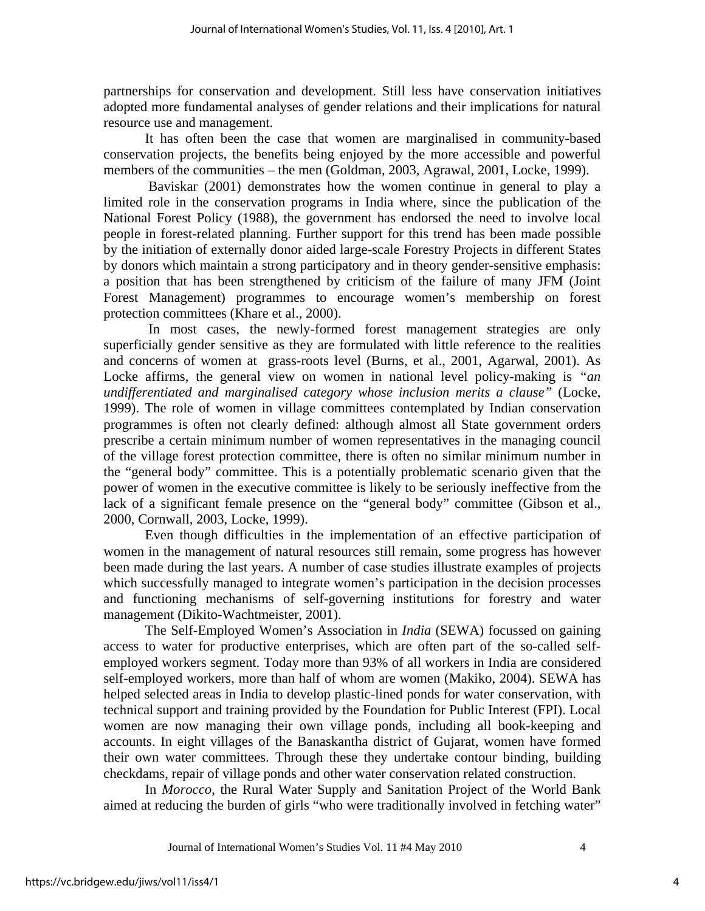partnerships for conservation and development. Still less have conservation initiatives adopted more fundamental analyses of gender relations and their implications for natural resource use and management.

It has often been the case that women are marginalised in community-based conservation projects, the benefits being enjoyed by the more accessible and powerful members of the communities – the men (Goldman, 2003, Agrawal, 2001, Locke, 1999).

Baviskar (2001) demonstrates how the women continue in general to play a limited role in the conservation programs in India where, since the publication of the National Forest Policy (1988), the government has endorsed the need to involve local people in forest-related planning. Further support for this trend has been made possible by the initiation of externally donor aided large-scale Forestry Projects in different States by donors which maintain a strong participatory and in theory gender-sensitive emphasis: a position that has been strengthened by criticism of the failure of many JFM (Joint Forest Management) programmes to encourage women's membership on forest protection committees (Khare et al., 2000).

 In most cases, the newly-formed forest management strategies are only superficially gender sensitive as they are formulated with little reference to the realities and concerns of women at grass-roots level (Burns, et al., 2001, Agarwal, 2001). As Locke affirms, the general view on women in national level policy-making is *"an undifferentiated and marginalised category whose inclusion merits a clause"* (Locke, 1999). The role of women in village committees contemplated by Indian conservation programmes is often not clearly defined: although almost all State government orders prescribe a certain minimum number of women representatives in the managing council of the village forest protection committee, there is often no similar minimum number in the "general body" committee. This is a potentially problematic scenario given that the power of women in the executive committee is likely to be seriously ineffective from the lack of a significant female presence on the "general body" committee (Gibson et al., 2000, Cornwall, 2003, Locke, 1999).

Even though difficulties in the implementation of an effective participation of women in the management of natural resources still remain, some progress has however been made during the last years. A number of case studies illustrate examples of projects which successfully managed to integrate women's participation in the decision processes and functioning mechanisms of self-governing institutions for forestry and water management (Dikito-Wachtmeister, 2001).

The Self-Employed Women's Association in *India* (SEWA) focussed on gaining access to water for productive enterprises, which are often part of the so-called selfemployed workers segment. Today more than 93% of all workers in India are considered self-employed workers, more than half of whom are women (Makiko, 2004). SEWA has helped selected areas in India to develop plastic-lined ponds for water conservation, with technical support and training provided by the Foundation for Public Interest (FPI). Local women are now managing their own village ponds, including all book-keeping and accounts. In eight villages of the Banaskantha district of Gujarat, women have formed their own water committees. Through these they undertake contour binding, building checkdams, repair of village ponds and other water conservation related construction.

In *Morocco*, the Rural Water Supply and Sanitation Project of the World Bank aimed at reducing the burden of girls "who were traditionally involved in fetching water"

Journal of International Women's Studies Vol. 11 #4 May 2010 4

4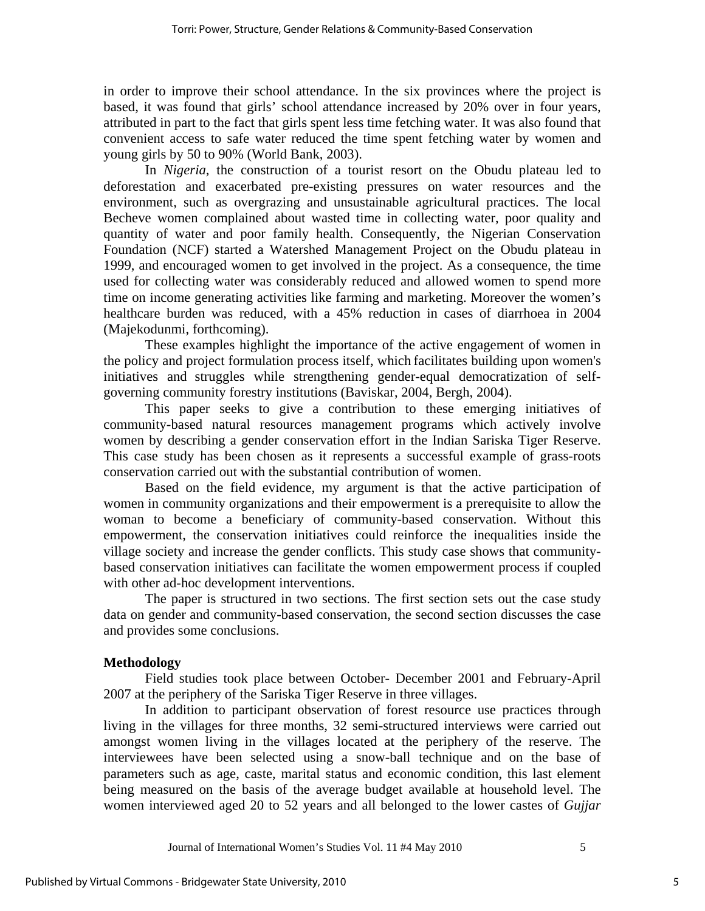in order to improve their school attendance. In the six provinces where the project is based, it was found that girls' school attendance increased by 20% over in four years, attributed in part to the fact that girls spent less time fetching water. It was also found that convenient access to safe water reduced the time spent fetching water by women and young girls by 50 to 90% (World Bank, 2003).

In *Nigeria*, the construction of a tourist resort on the Obudu plateau led to deforestation and exacerbated pre-existing pressures on water resources and the environment, such as overgrazing and unsustainable agricultural practices. The local Becheve women complained about wasted time in collecting water, poor quality and quantity of water and poor family health. Consequently, the Nigerian Conservation Foundation (NCF) started a Watershed Management Project on the Obudu plateau in 1999, and encouraged women to get involved in the project. As a consequence, the time used for collecting water was considerably reduced and allowed women to spend more time on income generating activities like farming and marketing. Moreover the women's healthcare burden was reduced, with a 45% reduction in cases of diarrhoea in 2004 (Majekodunmi, forthcoming).

These examples highlight the importance of the active engagement of women in the policy and project formulation process itself, which facilitates building upon women's initiatives and struggles while strengthening gender-equal democratization of selfgoverning community forestry institutions (Baviskar, 2004, Bergh, 2004).

This paper seeks to give a contribution to these emerging initiatives of community-based natural resources management programs which actively involve women by describing a gender conservation effort in the Indian Sariska Tiger Reserve. This case study has been chosen as it represents a successful example of grass-roots conservation carried out with the substantial contribution of women.

Based on the field evidence, my argument is that the active participation of women in community organizations and their empowerment is a prerequisite to allow the woman to become a beneficiary of community-based conservation. Without this empowerment, the conservation initiatives could reinforce the inequalities inside the village society and increase the gender conflicts. This study case shows that communitybased conservation initiatives can facilitate the women empowerment process if coupled with other ad-hoc development interventions.

The paper is structured in two sections. The first section sets out the case study data on gender and community-based conservation, the second section discusses the case and provides some conclusions.

## **Methodology**

Field studies took place between October- December 2001 and February-April 2007 at the periphery of the Sariska Tiger Reserve in three villages.

In addition to participant observation of forest resource use practices through living in the villages for three months, 32 semi-structured interviews were carried out amongst women living in the villages located at the periphery of the reserve. The interviewees have been selected using a snow-ball technique and on the base of parameters such as age, caste, marital status and economic condition, this last element being measured on the basis of the average budget available at household level. The women interviewed aged 20 to 52 years and all belonged to the lower castes of *Gujjar*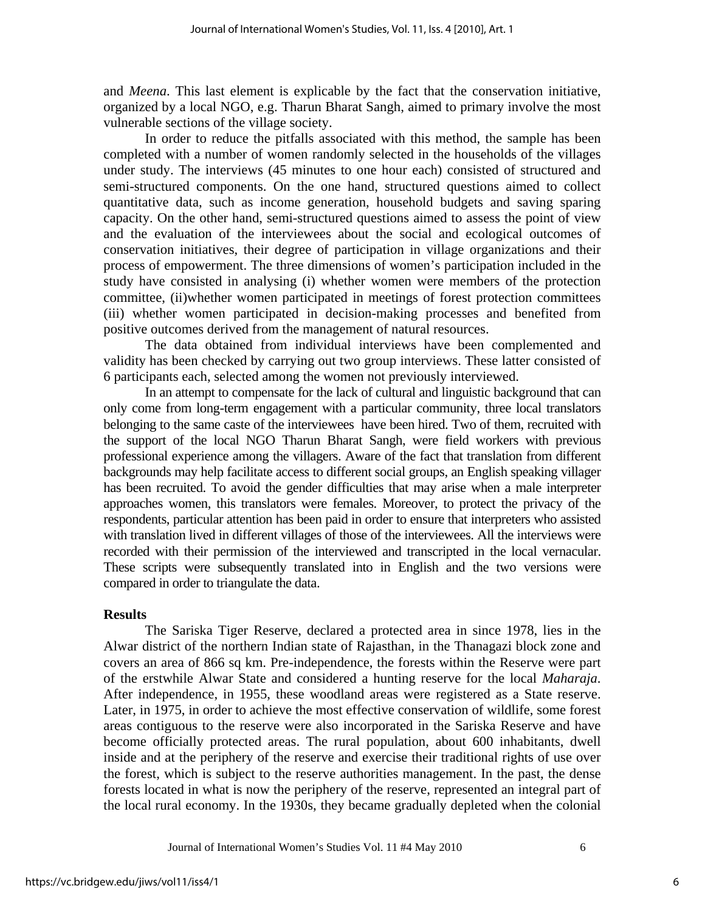and *Meena*. This last element is explicable by the fact that the conservation initiative, organized by a local NGO, e.g. Tharun Bharat Sangh, aimed to primary involve the most vulnerable sections of the village society.

In order to reduce the pitfalls associated with this method, the sample has been completed with a number of women randomly selected in the households of the villages under study. The interviews (45 minutes to one hour each) consisted of structured and semi-structured components. On the one hand, structured questions aimed to collect quantitative data, such as income generation, household budgets and saving sparing capacity. On the other hand, semi-structured questions aimed to assess the point of view and the evaluation of the interviewees about the social and ecological outcomes of conservation initiatives, their degree of participation in village organizations and their process of empowerment. The three dimensions of women's participation included in the study have consisted in analysing (i) whether women were members of the protection committee, (ii)whether women participated in meetings of forest protection committees (iii) whether women participated in decision-making processes and benefited from positive outcomes derived from the management of natural resources.

The data obtained from individual interviews have been complemented and validity has been checked by carrying out two group interviews. These latter consisted of 6 participants each, selected among the women not previously interviewed.

In an attempt to compensate for the lack of cultural and linguistic background that can only come from long-term engagement with a particular community, three local translators belonging to the same caste of the interviewees have been hired. Two of them, recruited with the support of the local NGO Tharun Bharat Sangh, were field workers with previous professional experience among the villagers. Aware of the fact that translation from different backgrounds may help facilitate access to different social groups, an English speaking villager has been recruited. To avoid the gender difficulties that may arise when a male interpreter approaches women, this translators were females. Moreover, to protect the privacy of the respondents, particular attention has been paid in order to ensure that interpreters who assisted with translation lived in different villages of those of the interviewees. All the interviews were recorded with their permission of the interviewed and transcripted in the local vernacular. These scripts were subsequently translated into in English and the two versions were compared in order to triangulate the data.

#### **Results**

The Sariska Tiger Reserve, declared a protected area in since 1978, lies in the Alwar district of the northern Indian state of Rajasthan, in the Thanagazi block zone and covers an area of 866 sq km. Pre-independence, the forests within the Reserve were part of the erstwhile Alwar State and considered a hunting reserve for the local *Maharaja*. After independence, in 1955, these woodland areas were registered as a State reserve. Later, in 1975, in order to achieve the most effective conservation of wildlife, some forest areas contiguous to the reserve were also incorporated in the Sariska Reserve and have become officially protected areas. The rural population, about 600 inhabitants, dwell inside and at the periphery of the reserve and exercise their traditional rights of use over the forest, which is subject to the reserve authorities management. In the past, the dense forests located in what is now the periphery of the reserve, represented an integral part of the local rural economy. In the 1930s, they became gradually depleted when the colonial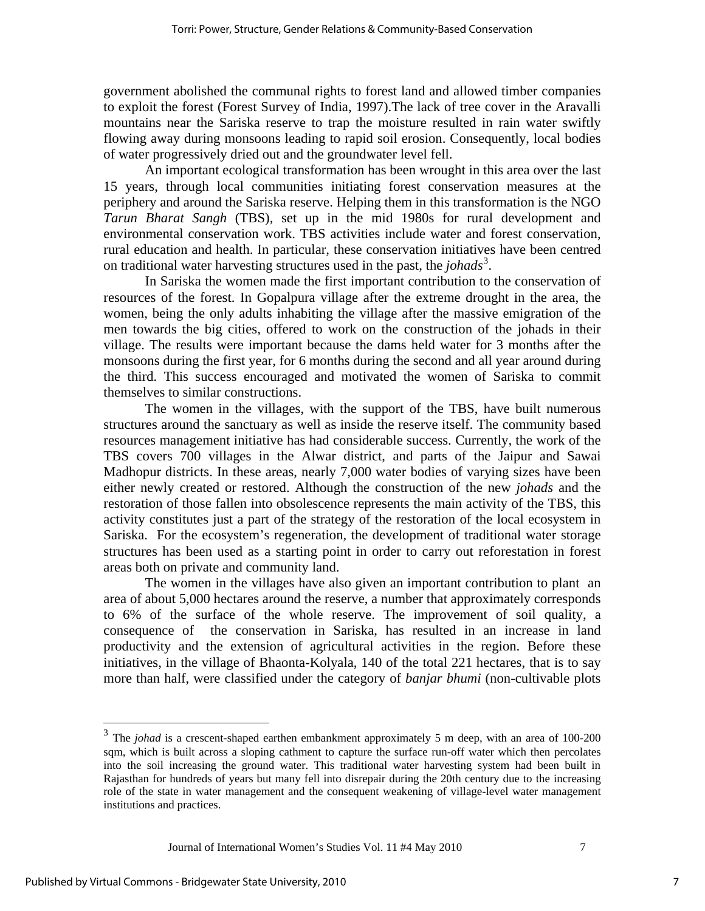government abolished the communal rights to forest land and allowed timber companies to exploit the forest (Forest Survey of India, 1997).The lack of tree cover in the Aravalli mountains near the Sariska reserve to trap the moisture resulted in rain water swiftly flowing away during monsoons leading to rapid soil erosion. Consequently, local bodies of water progressively dried out and the groundwater level fell.

An important ecological transformation has been wrought in this area over the last 15 years, through local communities initiating forest conservation measures at the periphery and around the Sariska reserve. Helping them in this transformation is the NGO *Tarun Bharat Sangh* (TBS), set up in the mid 1980s for rural development and environmental conservation work. TBS activities include water and forest conservation, rural education and health. In particular, these conservation initiatives have been centred on traditional water harvesting structures used in the past, the *johads*[3](#page-7-0) *.*

In Sariska the women made the first important contribution to the conservation of resources of the forest. In Gopalpura village after the extreme drought in the area, the women, being the only adults inhabiting the village after the massive emigration of the men towards the big cities, offered to work on the construction of the johads in their village. The results were important because the dams held water for 3 months after the monsoons during the first year, for 6 months during the second and all year around during the third. This success encouraged and motivated the women of Sariska to commit themselves to similar constructions.

The women in the villages, with the support of the TBS, have built numerous structures around the sanctuary as well as inside the reserve itself. The community based resources management initiative has had considerable success. Currently, the work of the TBS covers 700 villages in the Alwar district, and parts of the Jaipur and Sawai Madhopur districts. In these areas, nearly 7,000 water bodies of varying sizes have been either newly created or restored. Although the construction of the new *johads* and the restoration of those fallen into obsolescence represents the main activity of the TBS, this activity constitutes just a part of the strategy of the restoration of the local ecosystem in Sariska. For the ecosystem's regeneration, the development of traditional water storage structures has been used as a starting point in order to carry out reforestation in forest areas both on private and community land.

The women in the villages have also given an important contribution to plant an area of about 5,000 hectares around the reserve, a number that approximately corresponds to 6% of the surface of the whole reserve. The improvement of soil quality, a consequence of the conservation in Sariska, has resulted in an increase in land productivity and the extension of agricultural activities in the region. Before these initiatives, in the village of Bhaonta-Kolyala, 140 of the total 221 hectares, that is to say more than half, were classified under the category of *banjar bhumi* (non-cultivable plots

Journal of International Women's Studies Vol. 11 #4 May 2010 7

 $\overline{a}$ 

<span id="page-7-0"></span><sup>&</sup>lt;sup>3</sup> The *johad* is a crescent-shaped earthen embankment approximately 5 m deep, with an area of 100-200 sqm, which is built across a sloping cathment to capture the surface run-off water which then percolates into the soil increasing the ground water. This traditional water harvesting system had been built in Rajasthan for hundreds of years but many fell into disrepair during the 20th century due to the increasing role of the state in water management and the consequent weakening of village-level water management institutions and practices.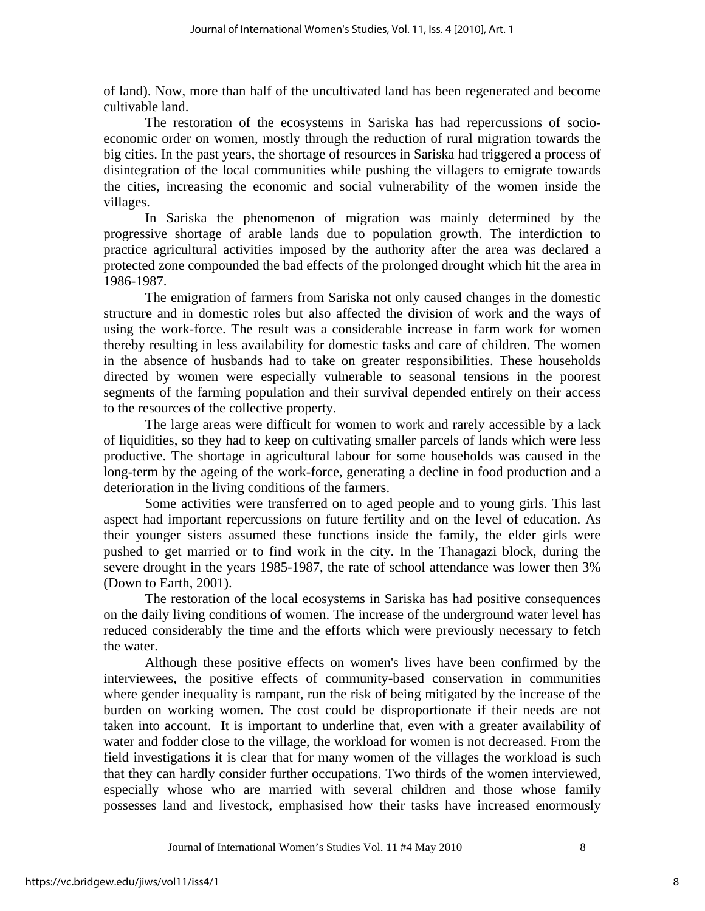of land). Now, more than half of the uncultivated land has been regenerated and become cultivable land.

The restoration of the ecosystems in Sariska has had repercussions of socioeconomic order on women, mostly through the reduction of rural migration towards the big cities. In the past years, the shortage of resources in Sariska had triggered a process of disintegration of the local communities while pushing the villagers to emigrate towards the cities, increasing the economic and social vulnerability of the women inside the villages.

In Sariska the phenomenon of migration was mainly determined by the progressive shortage of arable lands due to population growth. The interdiction to practice agricultural activities imposed by the authority after the area was declared a protected zone compounded the bad effects of the prolonged drought which hit the area in 1986-1987.

The emigration of farmers from Sariska not only caused changes in the domestic structure and in domestic roles but also affected the division of work and the ways of using the work-force. The result was a considerable increase in farm work for women thereby resulting in less availability for domestic tasks and care of children. The women in the absence of husbands had to take on greater responsibilities. These households directed by women were especially vulnerable to seasonal tensions in the poorest segments of the farming population and their survival depended entirely on their access to the resources of the collective property.

The large areas were difficult for women to work and rarely accessible by a lack of liquidities, so they had to keep on cultivating smaller parcels of lands which were less productive. The shortage in agricultural labour for some households was caused in the long-term by the ageing of the work-force, generating a decline in food production and a deterioration in the living conditions of the farmers.

Some activities were transferred on to aged people and to young girls. This last aspect had important repercussions on future fertility and on the level of education. As their younger sisters assumed these functions inside the family, the elder girls were pushed to get married or to find work in the city. In the Thanagazi block, during the severe drought in the years 1985-1987, the rate of school attendance was lower then 3% (Down to Earth, 2001).

The restoration of the local ecosystems in Sariska has had positive consequences on the daily living conditions of women. The increase of the underground water level has reduced considerably the time and the efforts which were previously necessary to fetch the water.

Although these positive effects on women's lives have been confirmed by the interviewees, the positive effects of community-based conservation in communities where gender inequality is rampant, run the risk of being mitigated by the increase of the burden on working women. The cost could be disproportionate if their needs are not taken into account. It is important to underline that, even with a greater availability of water and fodder close to the village, the workload for women is not decreased. From the field investigations it is clear that for many women of the villages the workload is such that they can hardly consider further occupations. Two thirds of the women interviewed, especially whose who are married with several children and those whose family possesses land and livestock, emphasised how their tasks have increased enormously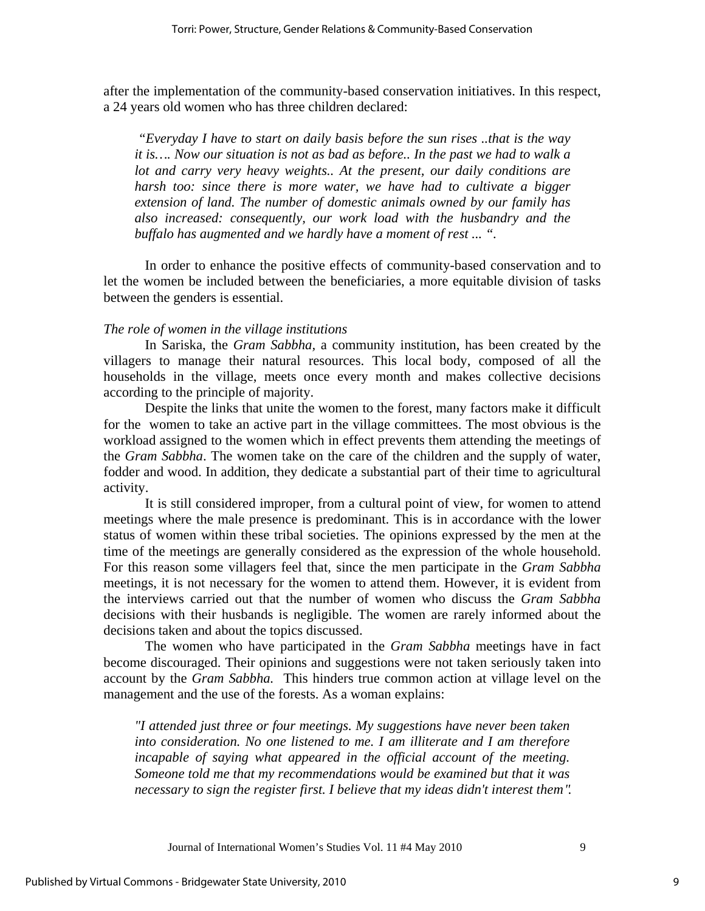after the implementation of the community-based conservation initiatives. In this respect, a 24 years old women who has three children declared:

 *"Everyday I have to start on daily basis before the sun rises ..that is the way it is…. Now our situation is not as bad as before.. In the past we had to walk a lot and carry very heavy weights.. At the present, our daily conditions are harsh too: since there is more water, we have had to cultivate a bigger extension of land. The number of domestic animals owned by our family has also increased: consequently, our work load with the husbandry and the buffalo has augmented and we hardly have a moment of rest ... ".* 

In order to enhance the positive effects of community-based conservation and to let the women be included between the beneficiaries, a more equitable division of tasks between the genders is essential.

#### *The role of women in the village institutions*

In Sariska, the *Gram Sabbha,* a community institution, has been created by the villagers to manage their natural resources. This local body, composed of all the households in the village, meets once every month and makes collective decisions according to the principle of majority.

Despite the links that unite the women to the forest, many factors make it difficult for the women to take an active part in the village committees. The most obvious is the workload assigned to the women which in effect prevents them attending the meetings of the *Gram Sabbha*. The women take on the care of the children and the supply of water, fodder and wood. In addition, they dedicate a substantial part of their time to agricultural activity.

It is still considered improper, from a cultural point of view, for women to attend meetings where the male presence is predominant. This is in accordance with the lower status of women within these tribal societies. The opinions expressed by the men at the time of the meetings are generally considered as the expression of the whole household. For this reason some villagers feel that, since the men participate in the *Gram Sabbha* meetings, it is not necessary for the women to attend them. However, it is evident from the interviews carried out that the number of women who discuss the *Gram Sabbha* decisions with their husbands is negligible. The women are rarely informed about the decisions taken and about the topics discussed.

The women who have participated in the *Gram Sabbha* meetings have in fact become discouraged. Their opinions and suggestions were not taken seriously taken into account by the *Gram Sabbha.* This hinders true common action at village level on the management and the use of the forests. As a woman explains:

*"I attended just three or four meetings. My suggestions have never been taken into consideration. No one listened to me. I am illiterate and I am therefore incapable of saying what appeared in the official account of the meeting. Someone told me that my recommendations would be examined but that it was necessary to sign the register first. I believe that my ideas didn't interest them "*.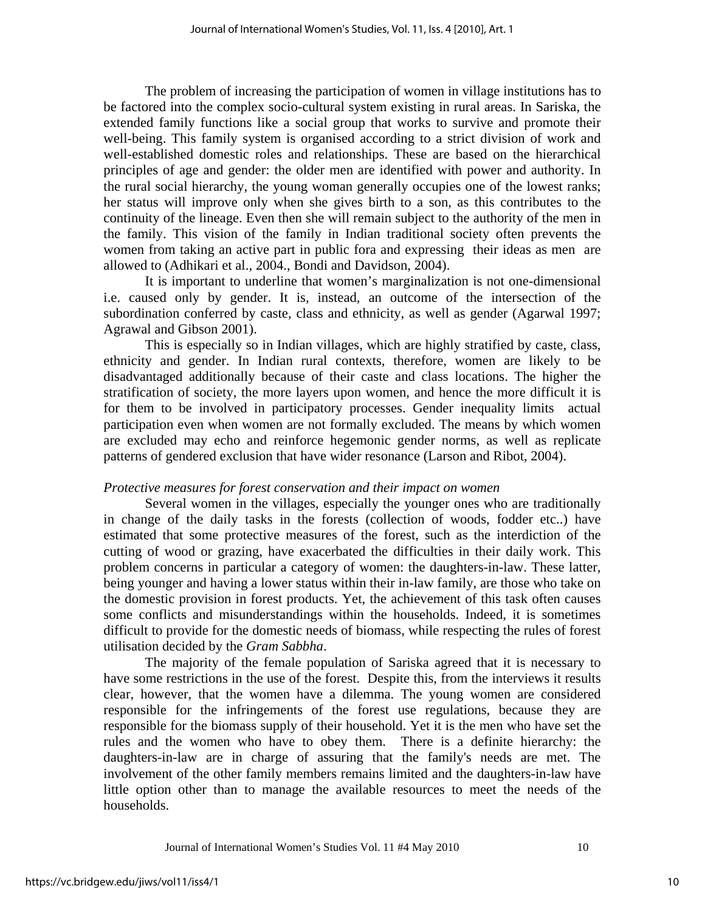The problem of increasing the participation of women in village institutions has to be factored into the complex socio-cultural system existing in rural areas. In Sariska, the extended family functions like a social group that works to survive and promote their well-being. This family system is organised according to a strict division of work and well-established domestic roles and relationships. These are based on the hierarchical principles of age and gender: the older men are identified with power and authority. In the rural social hierarchy, the young woman generally occupies one of the lowest ranks; her status will improve only when she gives birth to a son, as this contributes to the continuity of the lineage. Even then she will remain subject to the authority of the men in the family. This vision of the family in Indian traditional society often prevents the women from taking an active part in public fora and expressing their ideas as men are allowed to (Adhikari et al., 2004., Bondi and Davidson, 2004).

It is important to underline that women's marginalization is not one-dimensional i.e. caused only by gender. It is, instead, an outcome of the intersection of the subordination conferred by caste, class and ethnicity, as well as gender (Agarwal 1997; Agrawal and Gibson 2001).

This is especially so in Indian villages, which are highly stratified by caste, class, ethnicity and gender. In Indian rural contexts, therefore, women are likely to be disadvantaged additionally because of their caste and class locations. The higher the stratification of society, the more layers upon women, and hence the more difficult it is for them to be involved in participatory processes. Gender inequality limits actual participation even when women are not formally excluded. The means by which women are excluded may echo and reinforce hegemonic gender norms, as well as replicate patterns of gendered exclusion that have wider resonance (Larson and Ribot, 2004).

#### *Protective measures for forest conservation and their impact on women*

Several women in the villages, especially the younger ones who are traditionally in change of the daily tasks in the forests (collection of woods, fodder etc..) have estimated that some protective measures of the forest, such as the interdiction of the cutting of wood or grazing, have exacerbated the difficulties in their daily work. This problem concerns in particular a category of women: the daughters-in-law. These latter, being younger and having a lower status within their in-law family, are those who take on the domestic provision in forest products. Yet, the achievement of this task often causes some conflicts and misunderstandings within the households. Indeed, it is sometimes difficult to provide for the domestic needs of biomass, while respecting the rules of forest utilisation decided by the *Gram Sabbha*.

The majority of the female population of Sariska agreed that it is necessary to have some restrictions in the use of the forest. Despite this, from the interviews it results clear, however, that the women have a dilemma. The young women are considered responsible for the infringements of the forest use regulations, because they are responsible for the biomass supply of their household. Yet it is the men who have set the rules and the women who have to obey them. There is a definite hierarchy: the daughters-in-law are in charge of assuring that the family's needs are met. The involvement of the other family members remains limited and the daughters-in-law have little option other than to manage the available resources to meet the needs of the households.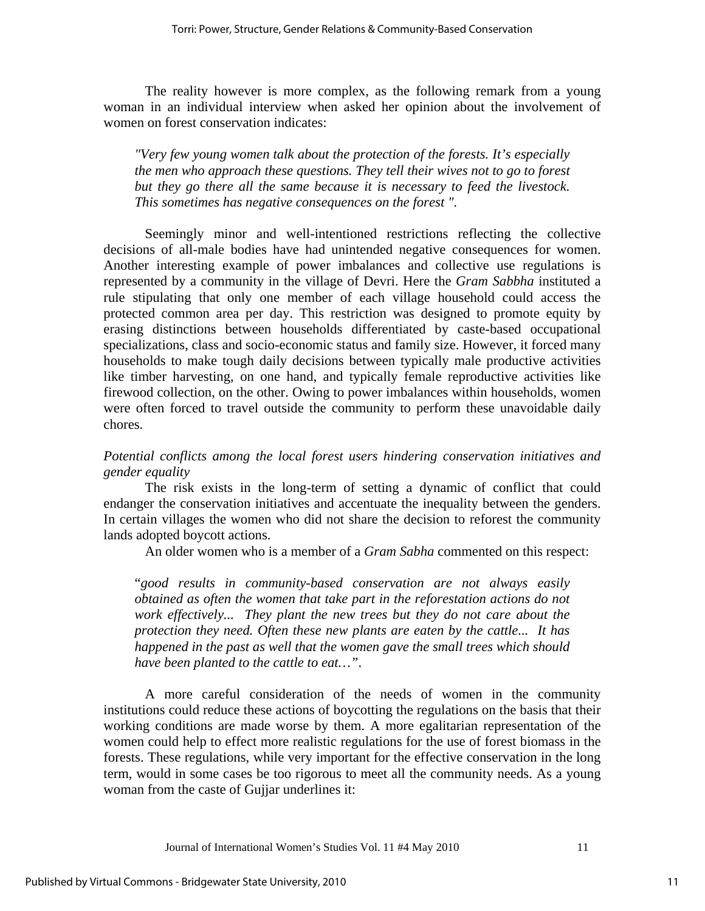The reality however is more complex, as the following remark from a young woman in an individual interview when asked her opinion about the involvement of women on forest conservation indicates:

*"Very few young women talk about the protection of the forests. It's especially the men who approach these questions. They tell their wives not to go to forest but they go there all the same because it is necessary to feed the livestock. This sometimes has negative consequences on the forest "*.

Seemingly minor and well-intentioned restrictions reflecting the collective decisions of all-male bodies have had unintended negative consequences for women. Another interesting example of power imbalances and collective use regulations is represented by a community in the village of Devri. Here the *Gram Sabbha* instituted a rule stipulating that only one member of each village household could access the protected common area per day. This restriction was designed to promote equity by erasing distinctions between households differentiated by caste-based occupational specializations, class and socio-economic status and family size. However, it forced many households to make tough daily decisions between typically male productive activities like timber harvesting, on one hand, and typically female reproductive activities like firewood collection, on the other. Owing to power imbalances within households, women were often forced to travel outside the community to perform these unavoidable daily chores.

# *Potential conflicts among the local forest users hindering conservation initiatives and gender equality*

The risk exists in the long-term of setting a dynamic of conflict that could endanger the conservation initiatives and accentuate the inequality between the genders. In certain villages the women who did not share the decision to reforest the community lands adopted boycott actions.

An older women who is a member of a *Gram Sabha* commented on this respect:

"*good results in community-based conservation are not always easily obtained as often the women that take part in the reforestation actions do not work effectively... They plant the new trees but they do not care about the protection they need. Often these new plants are eaten by the cattle... It has happened in the past as well that the women gave the small trees which should have been planted to the cattle to eat…"*.

A more careful consideration of the needs of women in the community institutions could reduce these actions of boycotting the regulations on the basis that their working conditions are made worse by them. A more egalitarian representation of the women could help to effect more realistic regulations for the use of forest biomass in the forests. These regulations, while very important for the effective conservation in the long term, would in some cases be too rigorous to meet all the community needs. As a young woman from the caste of Gujjar underlines it: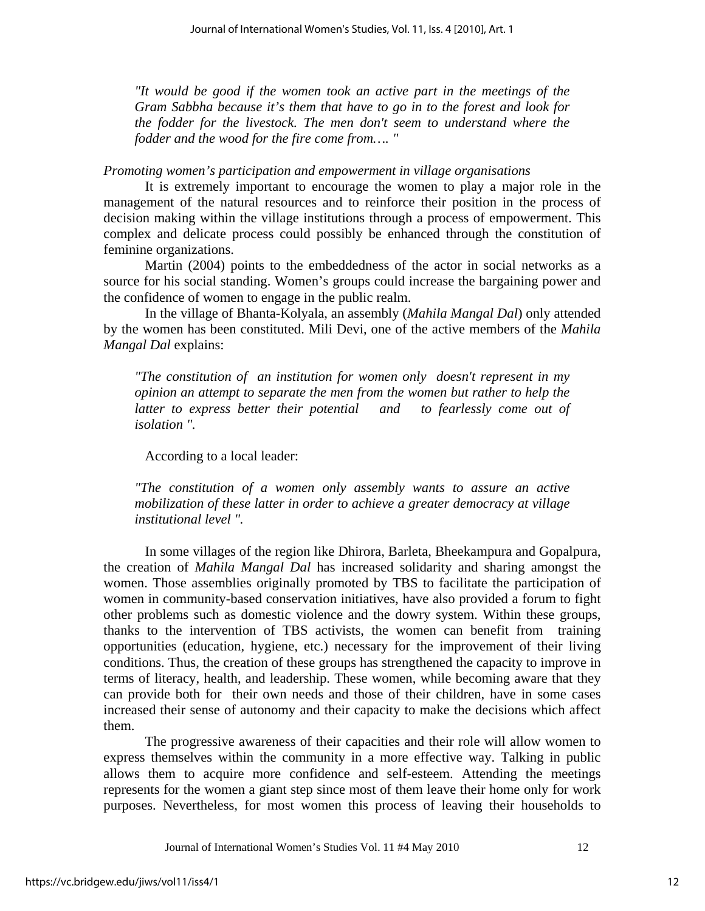*"It would be good if the women took an active part in the meetings of the Gram Sabbha because it's them that have to go in to the forest and look for the fodder for the livestock. The men don't seem to understand where the fodder and the wood for the fire come from…. "* 

*Promoting women's participation and empowerment in village organisations* 

It is extremely important to encourage the women to play a major role in the management of the natural resources and to reinforce their position in the process of decision making within the village institutions through a process of empowerment. This complex and delicate process could possibly be enhanced through the constitution of feminine organizations.

Martin (2004) points to the embeddedness of the actor in social networks as a source for his social standing. Women's groups could increase the bargaining power and the confidence of women to engage in the public realm.

In the village of Bhanta-Kolyala, an assembly (*Mahila Mangal Dal*) only attended by the women has been constituted. Mili Devi, one of the active members of the *Mahila Mangal Dal* explains:

*"The constitution of an institution for women only doesn't represent in my opinion an attempt to separate the men from the women but rather to help the latter to express better their potential and to fearlessly come out of isolation ".* 

According to a local leader:

*"The constitution of a women only assembly wants to assure an active mobilization of these latter in order to achieve a greater democracy at village institutional level ".* 

In some villages of the region like Dhirora, Barleta, Bheekampura and Gopalpura, the creation of *Mahila Mangal Dal* has increased solidarity and sharing amongst the women. Those assemblies originally promoted by TBS to facilitate the participation of women in community-based conservation initiatives, have also provided a forum to fight other problems such as domestic violence and the dowry system. Within these groups, thanks to the intervention of TBS activists, the women can benefit from training opportunities (education, hygiene, etc.) necessary for the improvement of their living conditions. Thus, the creation of these groups has strengthened the capacity to improve in terms of literacy, health, and leadership. These women, while becoming aware that they can provide both for their own needs and those of their children, have in some cases increased their sense of autonomy and their capacity to make the decisions which affect them.

The progressive awareness of their capacities and their role will allow women to express themselves within the community in a more effective way. Talking in public allows them to acquire more confidence and self-esteem. Attending the meetings represents for the women a giant step since most of them leave their home only for work purposes. Nevertheless, for most women this process of leaving their households to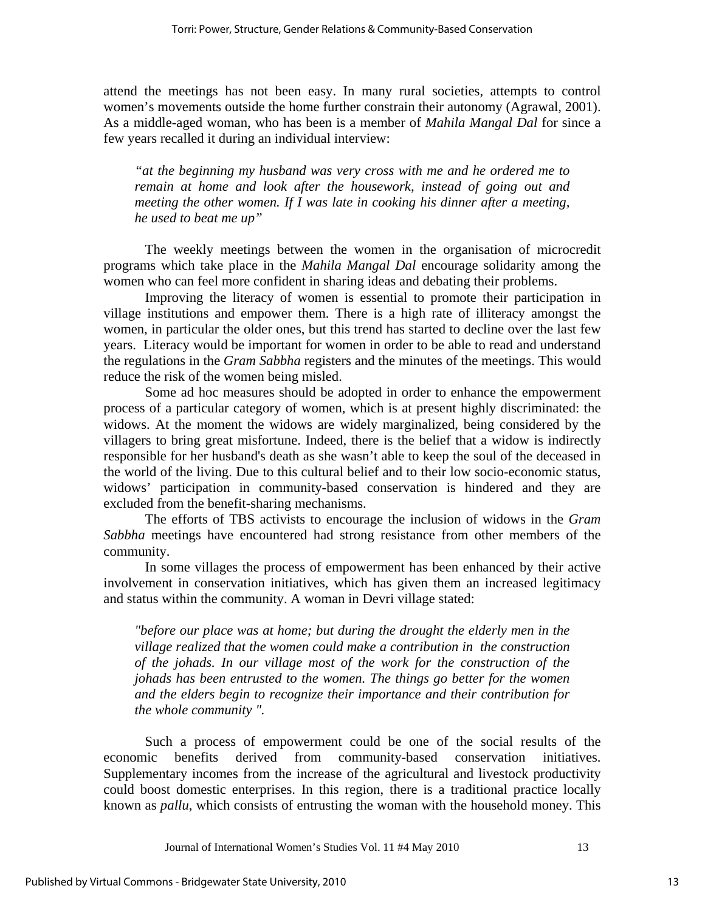attend the meetings has not been easy. In many rural societies, attempts to control women's movements outside the home further constrain their autonomy (Agrawal, 2001). As a middle-aged woman, who has been is a member of *Mahila Mangal Dal* for since a few years recalled it during an individual interview:

*"at the beginning my husband was very cross with me and he ordered me to remain at home and look after the housework, instead of going out and meeting the other women. If I was late in cooking his dinner after a meeting, he used to beat me up"* 

The weekly meetings between the women in the organisation of microcredit programs which take place in the *Mahila Mangal Dal* encourage solidarity among the women who can feel more confident in sharing ideas and debating their problems.

Improving the literacy of women is essential to promote their participation in village institutions and empower them. There is a high rate of illiteracy amongst the women, in particular the older ones, but this trend has started to decline over the last few years. Literacy would be important for women in order to be able to read and understand the regulations in the *Gram Sabbha* registers and the minutes of the meetings. This would reduce the risk of the women being misled.

Some ad hoc measures should be adopted in order to enhance the empowerment process of a particular category of women, which is at present highly discriminated: the widows. At the moment the widows are widely marginalized, being considered by the villagers to bring great misfortune. Indeed, there is the belief that a widow is indirectly responsible for her husband's death as she wasn't able to keep the soul of the deceased in the world of the living. Due to this cultural belief and to their low socio-economic status, widows' participation in community-based conservation is hindered and they are excluded from the benefit-sharing mechanisms.

The efforts of TBS activists to encourage the inclusion of widows in the *Gram Sabbha* meetings have encountered had strong resistance from other members of the community.

In some villages the process of empowerment has been enhanced by their active involvement in conservation initiatives, which has given them an increased legitimacy and status within the community. A woman in Devri village stated:

*"before our place was at home; but during the drought the elderly men in the village realized that the women could make a contribution in the construction of the johads. In our village most of the work for the construction of the johads has been entrusted to the women. The things go better for the women and the elders begin to recognize their importance and their contribution for the whole community ".* 

Such a process of empowerment could be one of the social results of the economic benefits derived from community-based conservation initiatives. Supplementary incomes from the increase of the agricultural and livestock productivity could boost domestic enterprises. In this region, there is a traditional practice locally known as *pallu*, which consists of entrusting the woman with the household money. This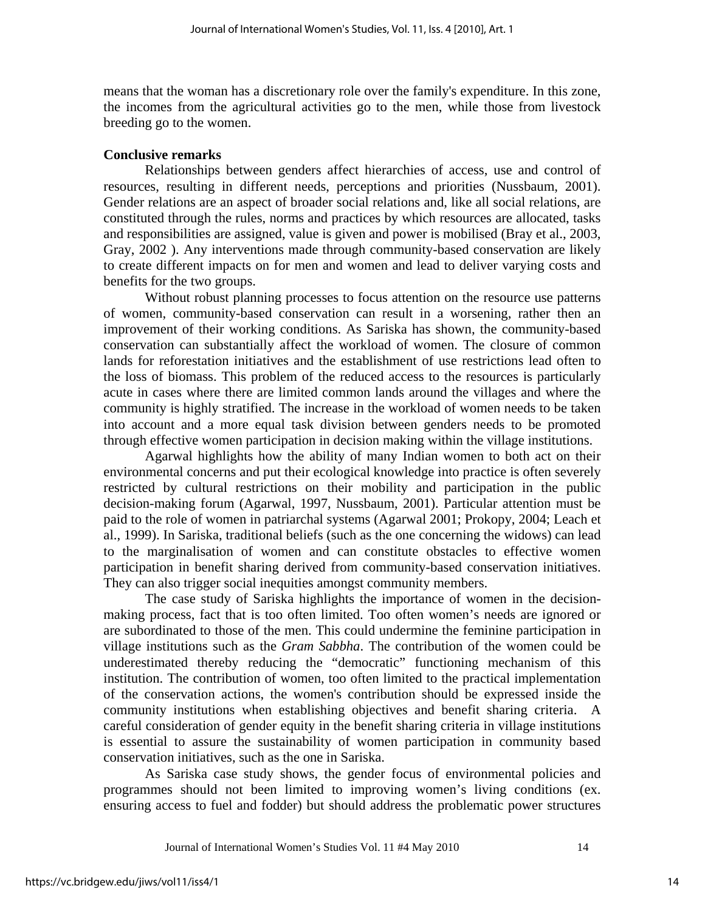means that the woman has a discretionary role over the family's expenditure. In this zone, the incomes from the agricultural activities go to the men, while those from livestock breeding go to the women.

#### **Conclusive remarks**

Relationships between genders affect hierarchies of access, use and control of resources, resulting in different needs, perceptions and priorities (Nussbaum, 2001). Gender relations are an aspect of broader social relations and, like all social relations, are constituted through the rules, norms and practices by which resources are allocated, tasks and responsibilities are assigned, value is given and power is mobilised (Bray et al., 2003, Gray, 2002 ). Any interventions made through community-based conservation are likely to create different impacts on for men and women and lead to deliver varying costs and benefits for the two groups.

Without robust planning processes to focus attention on the resource use patterns of women, community-based conservation can result in a worsening, rather then an improvement of their working conditions. As Sariska has shown, the community-based conservation can substantially affect the workload of women. The closure of common lands for reforestation initiatives and the establishment of use restrictions lead often to the loss of biomass. This problem of the reduced access to the resources is particularly acute in cases where there are limited common lands around the villages and where the community is highly stratified. The increase in the workload of women needs to be taken into account and a more equal task division between genders needs to be promoted through effective women participation in decision making within the village institutions.

Agarwal highlights how the ability of many Indian women to both act on their environmental concerns and put their ecological knowledge into practice is often severely restricted by cultural restrictions on their mobility and participation in the public decision-making forum (Agarwal, 1997, Nussbaum, 2001). Particular attention must be paid to the role of women in patriarchal systems (Agarwal 2001; Prokopy, 2004; Leach et al., 1999). In Sariska, traditional beliefs (such as the one concerning the widows) can lead to the marginalisation of women and can constitute obstacles to effective women participation in benefit sharing derived from community-based conservation initiatives. They can also trigger social inequities amongst community members.

The case study of Sariska highlights the importance of women in the decisionmaking process, fact that is too often limited. Too often women's needs are ignored or are subordinated to those of the men. This could undermine the feminine participation in village institutions such as the *Gram Sabbha*. The contribution of the women could be underestimated thereby reducing the "democratic" functioning mechanism of this institution. The contribution of women, too often limited to the practical implementation of the conservation actions, the women's contribution should be expressed inside the community institutions when establishing objectives and benefit sharing criteria. A careful consideration of gender equity in the benefit sharing criteria in village institutions is essential to assure the sustainability of women participation in community based conservation initiatives, such as the one in Sariska.

As Sariska case study shows, the gender focus of environmental policies and programmes should not been limited to improving women's living conditions (ex. ensuring access to fuel and fodder) but should address the problematic power structures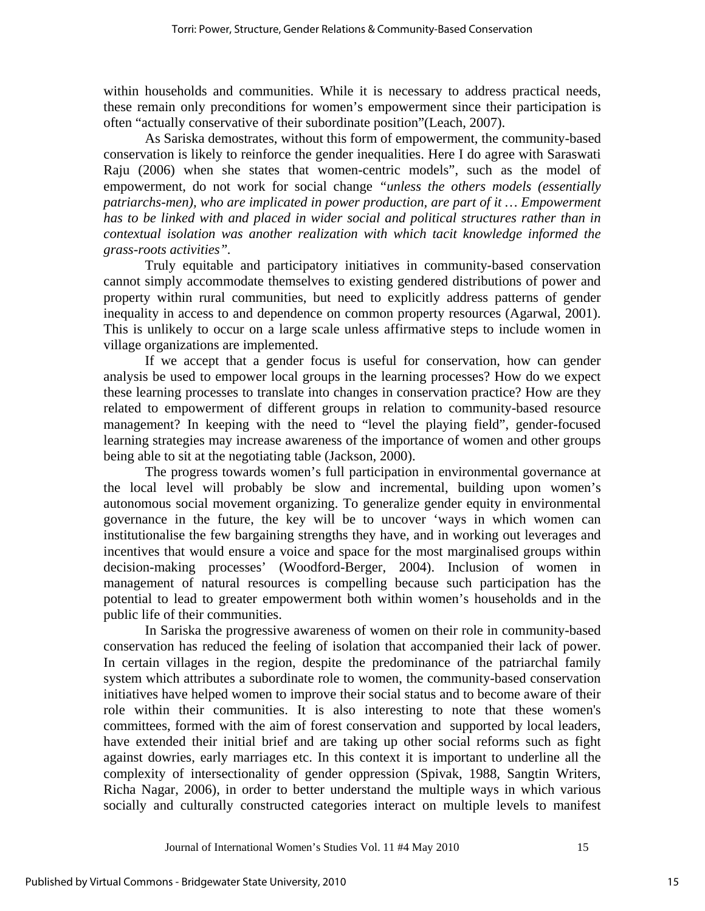within households and communities. While it is necessary to address practical needs, these remain only preconditions for women's empowerment since their participation is often "actually conservative of their subordinate position"(Leach, 2007).

As Sariska demostrates, without this form of empowerment, the community-based conservation is likely to reinforce the gender inequalities. Here I do agree with Saraswati Raju (2006) when she states that women-centric models", such as the model of empowerment, do not work for social change *"unless the others models (essentially patriarchs-men), who are implicated in power production, are part of it … Empowerment has to be linked with and placed in wider social and political structures rather than in contextual isolation was another realization with which tacit knowledge informed the grass-roots activities".* 

Truly equitable and participatory initiatives in community-based conservation cannot simply accommodate themselves to existing gendered distributions of power and property within rural communities, but need to explicitly address patterns of gender inequality in access to and dependence on common property resources (Agarwal, 2001). This is unlikely to occur on a large scale unless affirmative steps to include women in village organizations are implemented.

If we accept that a gender focus is useful for conservation, how can gender analysis be used to empower local groups in the learning processes? How do we expect these learning processes to translate into changes in conservation practice? How are they related to empowerment of different groups in relation to community-based resource management? In keeping with the need to "level the playing field", gender-focused learning strategies may increase awareness of the importance of women and other groups being able to sit at the negotiating table (Jackson, 2000).

The progress towards women's full participation in environmental governance at the local level will probably be slow and incremental, building upon women's autonomous social movement organizing. To generalize gender equity in environmental governance in the future, the key will be to uncover 'ways in which women can institutionalise the few bargaining strengths they have, and in working out leverages and incentives that would ensure a voice and space for the most marginalised groups within decision-making processes' (Woodford-Berger, 2004). Inclusion of women in management of natural resources is compelling because such participation has the potential to lead to greater empowerment both within women's households and in the public life of their communities.

In Sariska the progressive awareness of women on their role in community-based conservation has reduced the feeling of isolation that accompanied their lack of power. In certain villages in the region, despite the predominance of the patriarchal family system which attributes a subordinate role to women, the community-based conservation initiatives have helped women to improve their social status and to become aware of their role within their communities. It is also interesting to note that these women's committees, formed with the aim of forest conservation and supported by local leaders, have extended their initial brief and are taking up other social reforms such as fight against dowries, early marriages etc. In this context it is important to underline all the complexity of intersectionality of gender oppression (Spivak, 1988, Sangtin Writers, Richa Nagar, 2006), in order to better understand the multiple ways in which various socially and culturally constructed categories interact on multiple levels to manifest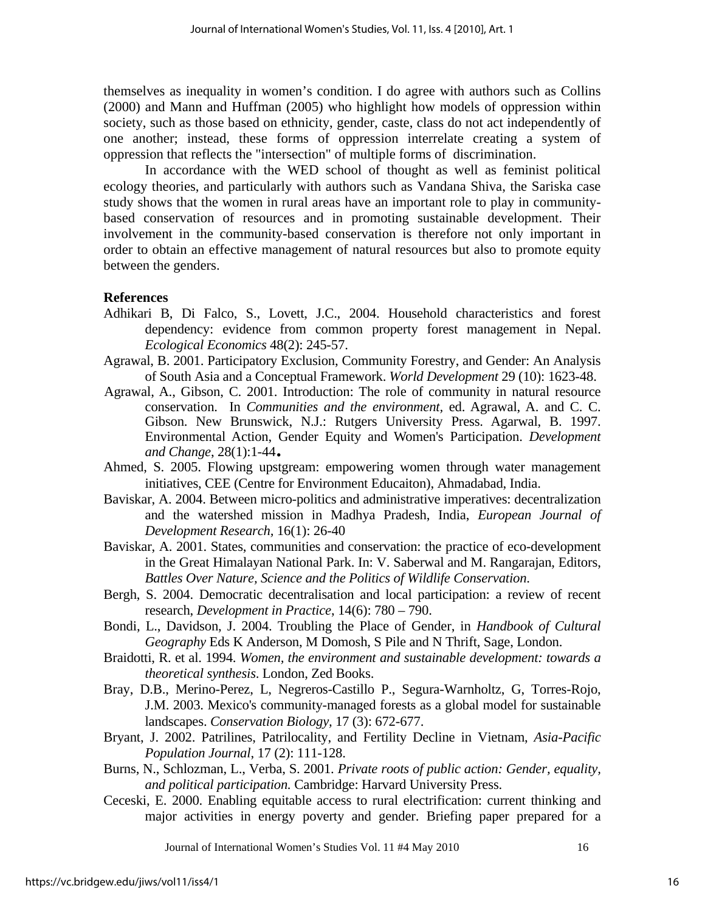themselves as inequality in women's condition. I do agree with authors such as Collins (2000) and Mann and Huffman (2005) who highlight how models of oppression within society, such as those based on ethnicity, gender, caste, class do not act independently of one another; instead, these forms of oppression interrelate creating a system of oppression that reflects the "intersection" of multiple forms of discrimination.

In accordance with the WED school of thought as well as feminist political ecology theories, and particularly with authors such as Vandana Shiva, the Sariska case study shows that the women in rural areas have an important role to play in communitybased conservation of resources and in promoting sustainable development. Their involvement in the community-based conservation is therefore not only important in order to obtain an effective management of natural resources but also to promote equity between the genders.

### **References**

- Adhikari B, Di Falco, S., Lovett, J.C., 2004. Household characteristics and forest dependency: evidence from common property forest management in Nepal. *Ecological Economics* 48(2): 245-57.
- Agrawal, B. 2001. Participatory Exclusion, Community Forestry, and Gender: An Analysis of South Asia and a Conceptual Framework. *World Development* 29 (10): 1623-48.
- Agrawal, A., Gibson, C. 2001. Introduction: The role of community in natural resource conservation. In *Communities and the environment,* ed. Agrawal, A. and C. C. Gibson. New Brunswick, N.J.: Rutgers University Press. Agarwal, B. 1997. Environmental Action, Gender Equity and Women's Participation. *Development and Change*, 28(1):1-44.<br>Ahmed, S. 2005. Flowing upstgream: empowering women through water management
- initiatives, CEE (Centre for Environment Educaiton), Ahmadabad, India.
- Baviskar, A. 2004. Between micro-politics and administrative imperatives: decentralization and the watershed mission in Madhya Pradesh, India, *European Journal of Development Research,* 16(1): 26-40
- Baviskar, A. 2001. States, communities and conservation: the practice of eco-development in the Great Himalayan National Park. In: V. Saberwal and M. Rangarajan, Editors, *Battles Over Nature, Science and the Politics of Wildlife Conservation*.
- Bergh, S. 2004. Democratic decentralisation and local participation: a review of recent research, *Development in Practice*, 14(6): 780 – 790.
- Bondi, L., Davidson, J. 2004. Troubling the Place of Gender, in *Handbook of Cultural Geography* Eds K Anderson, M Domosh, S Pile and N Thrift, Sage, London.
- Braidotti, R. et al. 1994. *Women, the environment and sustainable development: towards a theoretical synthesis*. London, Zed Books.
- Bray, D.B., Merino-Perez, L, Negreros-Castillo P., Segura-Warnholtz, G, Torres-Rojo, J.M. 2003. Mexico's community-managed forests as a global model for sustainable landscapes. *Conservation Biology,* 17 (3): 672-677.
- Bryant, J. 2002. Patrilines, Patrilocality, and Fertility Decline in Vietnam, *Asia-Pacific Population Journal*, 17 (2): 111-128.
- Burns, N., Schlozman, L., Verba, S. 2001. *Private roots of public action: Gender, equality, and political participation.* Cambridge: Harvard University Press.
- Ceceski, E. 2000. Enabling equitable access to rural electrification: current thinking and major activities in energy poverty and gender. Briefing paper prepared for a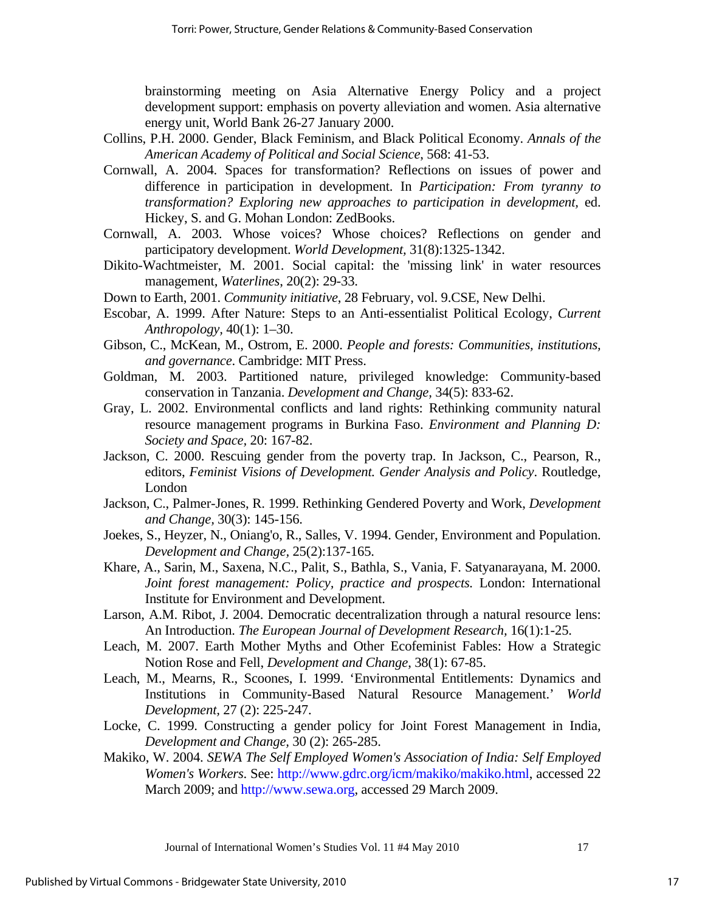brainstorming meeting on Asia Alternative Energy Policy and a project development support: emphasis on poverty alleviation and women. Asia alternative energy unit, World Bank 26-27 January 2000.

- Collins, P.H. 2000. Gender, Black Feminism, and Black Political Economy. *Annals of the American Academy of Political and Social Science*, 568: 41-53.
- Cornwall, A. 2004. Spaces for transformation? Reflections on issues of power and difference in participation in development. In *Participation: From tyranny to transformation? Exploring new approaches to participation in development,* ed. Hickey, S. and G. Mohan London: ZedBooks.
- Cornwall, A. 2003. Whose voices? Whose choices? Reflections on gender and participatory development. *World Development,* 31(8):1325-1342.
- Dikito-Wachtmeister, M. 2001. Social capital: the 'missing link' in water resources management, *Waterlines*, 20(2): 29-33.
- Down to Earth, 2001. *Community initiative*, 28 February, vol. 9.CSE, New Delhi.
- Escobar, A. 1999. After Nature: Steps to an Anti-essentialist Political Ecology, *Current Anthropology,* 40(1): 1–30.
- Gibson, C., McKean, M., Ostrom, E. 2000. *People and forests: Communities, institutions, and governance*. Cambridge: MIT Press.
- Goldman, M. 2003. Partitioned nature, privileged knowledge: Community-based conservation in Tanzania. *Development and Change,* 34(5): 833-62.
- Gray, L. 2002. Environmental conflicts and land rights: Rethinking community natural resource management programs in Burkina Faso. *Environment and Planning D: Society and Space,* 20: 167-82.
- Jackson, C. 2000. Rescuing gender from the poverty trap. In Jackson, C., Pearson, R., editors, *Feminist Visions of Development. Gender Analysis and Policy*. Routledge, London
- Jackson, C., Palmer-Jones, R. 1999. Rethinking Gendered Poverty and Work, *Development and Change,* 30(3): 145-156.
- Joekes, S., Heyzer, N., Oniang'o, R., Salles, V. 1994. Gender, Environment and Population. *Development and Change,* 25(2):137-165.
- Khare, A., Sarin, M., Saxena, N.C., Palit, S., Bathla, S., Vania, F. Satyanarayana, M. 2000. *Joint forest management: Policy, practice and prospects. London: International* Institute for Environment and Development.
- Larson, A.M. Ribot, J. 2004. Democratic decentralization through a natural resource lens: An Introduction. *The European Journal of Development Research,* 16(1):1-25.
- Leach, M. 2007. Earth Mother Myths and Other Ecofeminist Fables: How a Strategic Notion Rose and Fell, *Development and Change*, 38(1): 67-85.
- Leach, M., Mearns, R., Scoones, I. 1999. 'Environmental Entitlements: Dynamics and Institutions in Community-Based Natural Resource Management.' *World Development,* 27 (2): 225-247.
- Locke, C. 1999. Constructing a gender policy for Joint Forest Management in India, *Development and Change,* 30 (2): 265-285.
- Makiko, W. 2004. *SEWA The Self Employed Women's Association of India: Self Employed Women's Workers*. See: http://www.gdrc.org/icm/makiko/makiko.html, accessed 22 March 2009; and http://www.sewa.org, accessed 29 March 2009.